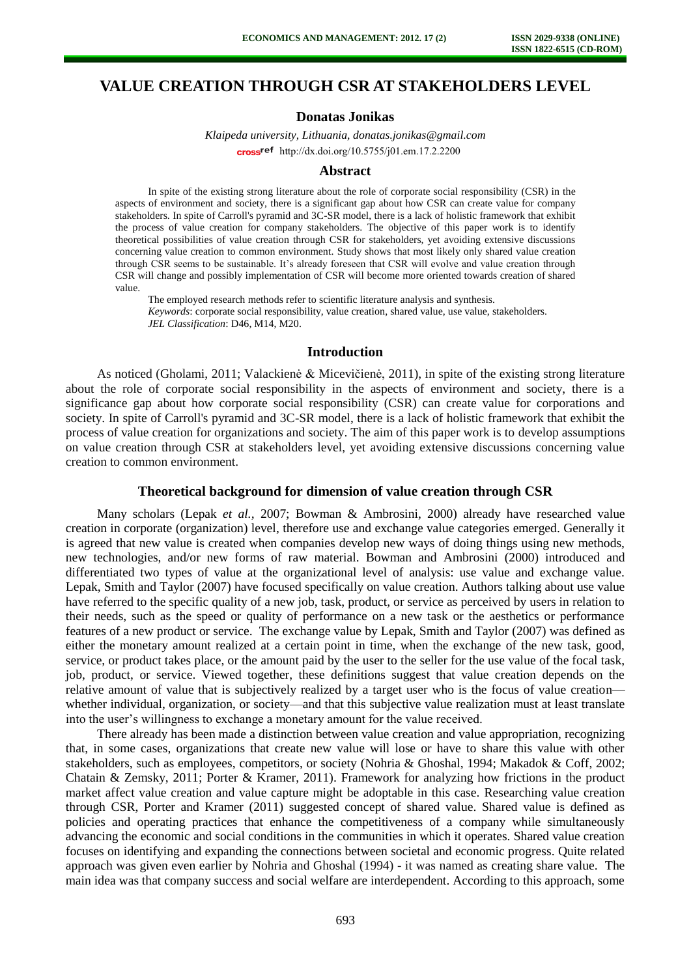# **VALUE CREATION THROUGH CSR AT STAKEHOLDERS LEVEL**

## **Donatas Jonikas**

*Klaipeda university, Lithuania, donatas.jonikas@gmail.com* cross<sup>ref</sup> [http://dx.doi.org/10.5755/j01.e](http://dx.doi.org/10.5755/j01.em.17.2.2200)m.17.2.2200

#### **Abstract**

In spite of the existing strong literature about the role of corporate social responsibility (CSR) in the aspects of environment and society, there is a significant gap about how CSR can create value for company stakeholders. In spite of Carroll's pyramid and 3C-SR model, there is a lack of holistic framework that exhibit the process of value creation for company stakeholders. The objective of this paper work is to identify theoretical possibilities of value creation through CSR for stakeholders, yet avoiding extensive discussions concerning value creation to common environment. Study shows that most likely only shared value creation through CSR seems to be sustainable. It's already foreseen that CSR will evolve and value creation through CSR will change and possibly implementation of CSR will become more oriented towards creation of shared value.

The employed research methods refer to scientific literature analysis and synthesis. *Keywords*: corporate social responsibility, value creation, shared value, use value, stakeholders. *JEL Classification*: D46, M14, M20.

#### **Introduction**

As noticed (Gholami, 2011; Valackienė & Micevičienė, 2011), in spite of the existing strong literature about the role of corporate social responsibility in the aspects of environment and society, there is a significance gap about how corporate social responsibility (CSR) can create value for corporations and society. In spite of Carroll's pyramid and 3C-SR model, there is a lack of holistic framework that exhibit the process of value creation for organizations and society. The aim of this paper work is to develop assumptions on value creation through CSR at stakeholders level, yet avoiding extensive discussions concerning value creation to common environment.

#### **Theoretical background for dimension of value creation through CSR**

Many scholars (Lepak *et al.,* 2007; Bowman & Ambrosini, 2000) already have researched value creation in corporate (organization) level, therefore use and exchange value categories emerged. Generally it is agreed that new value is created when companies develop new ways of doing things using new methods, new technologies, and/or new forms of raw material. Bowman and Ambrosini (2000) introduced and differentiated two types of value at the organizational level of analysis: use value and exchange value. Lepak, Smith and Taylor (2007) have focused specifically on value creation. Authors talking about use value have referred to the specific quality of a new job, task, product, or service as perceived by users in relation to their needs, such as the speed or quality of performance on a new task or the aesthetics or performance features of a new product or service. The exchange value by Lepak, Smith and Taylor (2007) was defined as either the monetary amount realized at a certain point in time, when the exchange of the new task, good, service, or product takes place, or the amount paid by the user to the seller for the use value of the focal task, job, product, or service. Viewed together, these definitions suggest that value creation depends on the relative amount of value that is subjectively realized by a target user who is the focus of value creation whether individual, organization, or society—and that this subjective value realization must at least translate into the user's willingness to exchange a monetary amount for the value received.

There already has been made a distinction between value creation and value appropriation, recognizing that, in some cases, organizations that create new value will lose or have to share this value with other stakeholders, such as employees, competitors, or society (Nohria & Ghoshal, 1994; Makadok & Coff, 2002; Chatain & Zemsky, 2011; Porter & Kramer, 2011). Framework for analyzing how frictions in the product market affect value creation and value capture might be adoptable in this case. Researching value creation through CSR, Porter and Kramer (2011) suggested concept of shared value. Shared value is defined as policies and operating practices that enhance the competitiveness of a company while simultaneously advancing the economic and social conditions in the communities in which it operates. Shared value creation focuses on identifying and expanding the connections between societal and economic progress. Quite related approach was given even earlier by Nohria and Ghoshal (1994) - it was named as creating share value. The main idea was that company success and social welfare are interdependent. According to this approach, some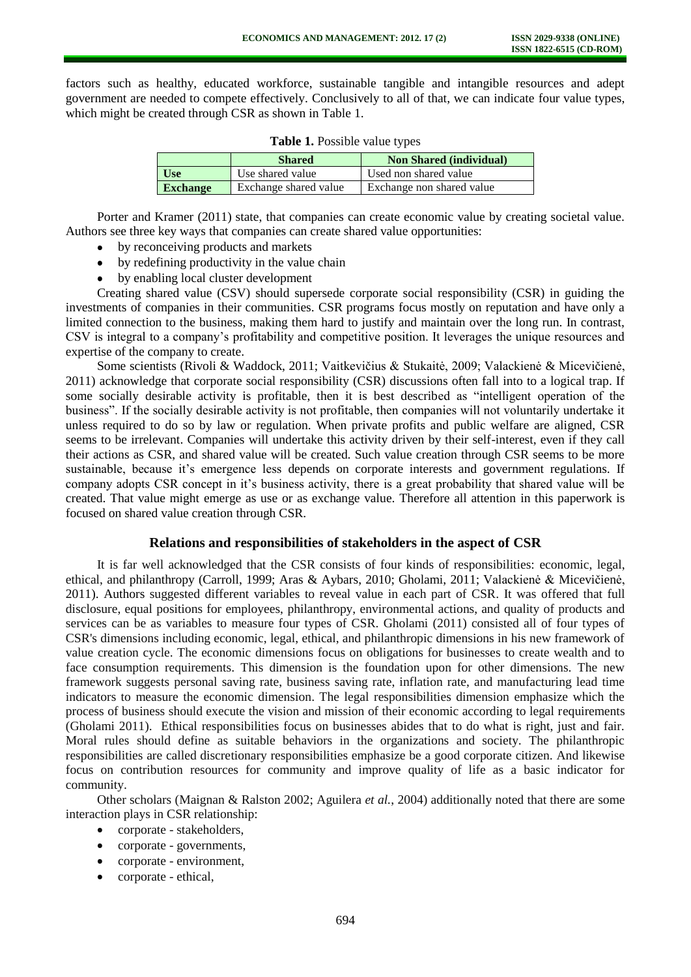factors such as healthy, educated workforce, sustainable tangible and intangible resources and adept government are needed to compete effectively. Conclusively to all of that, we can indicate four value types, which might be created through CSR as shown in Table 1.

|                 | <b>Shared</b>         | <b>Non Shared (individual)</b> |
|-----------------|-----------------------|--------------------------------|
| <b>Use</b>      | Use shared value      | Used non shared value          |
| <b>Exchange</b> | Exchange shared value | Exchange non shared value      |

**Table 1.** Possible value types

Porter and Kramer (2011) state, that companies can create economic value by creating societal value. Authors see three key ways that companies can create shared value opportunities:

- by reconceiving products and markets
- by redefining productivity in the value chain
- by enabling local cluster development

Creating shared value (CSV) should supersede corporate social responsibility (CSR) in guiding the investments of companies in their communities. CSR programs focus mostly on reputation and have only a limited connection to the business, making them hard to justify and maintain over the long run. In contrast, CSV is integral to a company's profitability and competitive position. It leverages the unique resources and expertise of the company to create.

Some scientists (Rivoli & Waddock, 2011; Vaitkevičius & Stukaitė, 2009; Valackienė & Micevičienė, 2011) acknowledge that corporate social responsibility (CSR) discussions often fall into to a logical trap. If some socially desirable activity is profitable, then it is best described as "intelligent operation of the business". If the socially desirable activity is not profitable, then companies will not voluntarily undertake it unless required to do so by law or regulation. When private profits and public welfare are aligned, CSR seems to be irrelevant. Companies will undertake this activity driven by their self-interest, even if they call their actions as CSR, and shared value will be created. Such value creation through CSR seems to be more sustainable, because it's emergence less depends on corporate interests and government regulations. If company adopts CSR concept in it's business activity, there is a great probability that shared value will be created. That value might emerge as use or as exchange value. Therefore all attention in this paperwork is focused on shared value creation through CSR.

## **Relations and responsibilities of stakeholders in the aspect of CSR**

It is far well acknowledged that the CSR consists of four kinds of responsibilities: economic, legal, ethical, and philanthropy (Carroll, 1999; Aras & Aybars, 2010; Gholami, 2011; Valackienė & Micevičienė, 2011). Authors suggested different variables to reveal value in each part of CSR. It was offered that full disclosure, equal positions for employees, philanthropy, environmental actions, and quality of products and services can be as variables to measure four types of CSR. Gholami (2011) consisted all of four types of CSR's dimensions including economic, legal, ethical, and philanthropic dimensions in his new framework of value creation cycle. The economic dimensions focus on obligations for businesses to create wealth and to face consumption requirements. This dimension is the foundation upon for other dimensions. The new framework suggests personal saving rate, business saving rate, inflation rate, and manufacturing lead time indicators to measure the economic dimension. The legal responsibilities dimension emphasize which the process of business should execute the vision and mission of their economic according to legal requirements (Gholami 2011). Ethical responsibilities focus on businesses abides that to do what is right, just and fair. Moral rules should define as suitable behaviors in the organizations and society. The philanthropic responsibilities are called discretionary responsibilities emphasize be a good corporate citizen. And likewise focus on contribution resources for community and improve quality of life as a basic indicator for community.

Other scholars (Maignan & Ralston 2002; Aguilera *et al.*, 2004) additionally noted that there are some interaction plays in CSR relationship:

- $\bullet$ corporate - stakeholders,
- corporate governments,
- corporate environment,
- corporate ethical,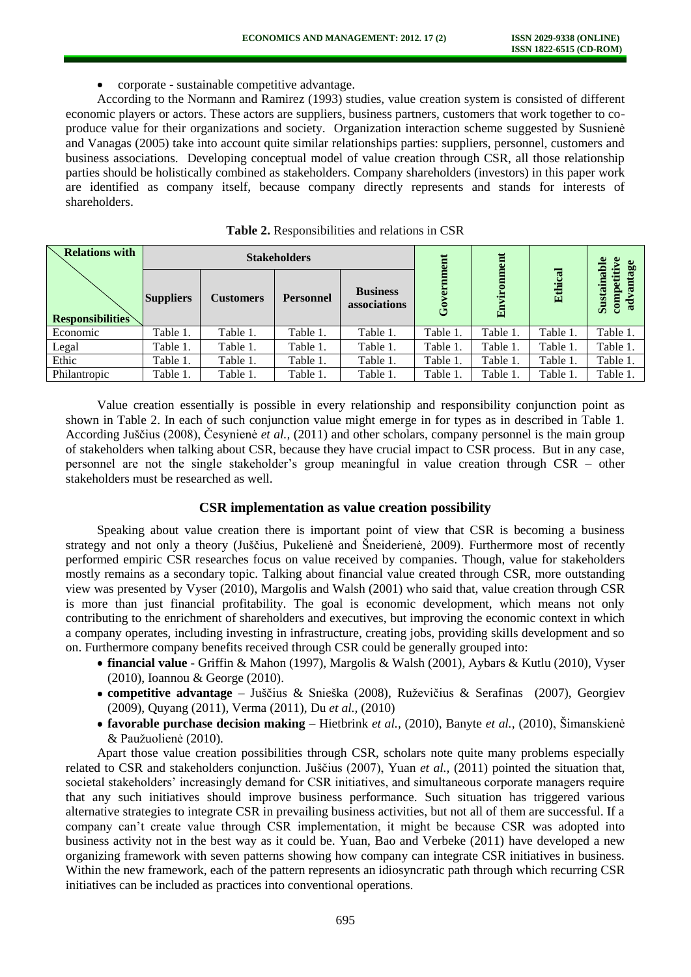corporate - sustainable competitive advantage.  $\bullet$ 

According to the Normann and Ramirez (1993) studies, value creation system is consisted of different economic players or actors. These actors are suppliers, business partners, customers that work together to coproduce value for their organizations and society. Organization interaction scheme suggested by Susnienė and Vanagas (2005) take into account quite similar relationships parties: suppliers, personnel, customers and business associations. Developing conceptual model of value creation through CSR, all those relationship parties should be holistically combined as stakeholders. Company shareholders (investors) in this paper work are identified as company itself, because company directly represents and stands for interests of shareholders.

| <b>Relations with</b>   | <b>Stakeholders</b> |                  |                  |                                 | Ĕ        | ent      |          | table<br>fiv     |
|-------------------------|---------------------|------------------|------------------|---------------------------------|----------|----------|----------|------------------|
| <b>Responsibilities</b> | <b>Suppliers</b>    | <b>Customers</b> | <b>Personnel</b> | <b>Business</b><br>associations | යි       | 畠        | Ethical  | Susta<br>ਦ<br>ē. |
| Economic                | Table 1.            | Table 1.         | Table 1.         | Table 1.                        | Table 1. | Table 1. | Table 1. | Table 1.         |
| Legal                   | Table 1.            | Table 1.         | Table 1.         | Table 1.                        | Table 1. | Table 1. | Table 1. | Table 1.         |
| Ethic                   | Table 1.            | Table 1.         | Table 1.         | Table 1.                        | Table 1. | Table 1. | Table 1. | Table 1.         |
| Philantropic            | Table 1.            | Table 1.         | Table 1.         | Table 1.                        | Table 1  | Table 1. | Table 1. | Table 1.         |

|  | Table 2. Responsibilities and relations in CSR |  |  |  |
|--|------------------------------------------------|--|--|--|
|--|------------------------------------------------|--|--|--|

Value creation essentially is possible in every relationship and responsibility conjunction point as shown in Table 2. In each of such conjunction value might emerge in for types as in described in Table 1. According Juščius (2008), Česynienė *et al.,* (2011) and other scholars, company personnel is the main group of stakeholders when talking about CSR, because they have crucial impact to CSR process. But in any case, personnel are not the single stakeholder's group meaningful in value creation through CSR – other stakeholders must be researched as well.

## **CSR implementation as value creation possibility**

Speaking about value creation there is important point of view that CSR is becoming a business strategy and not only a theory (Juščius, Pukelienė and Šneiderienė, 2009). Furthermore most of recently performed empiric CSR researches focus on value received by companies. Though, value for stakeholders mostly remains as a secondary topic. Talking about financial value created through CSR, more outstanding view was presented by Vyser (2010), Margolis and Walsh (2001) who said that, value creation through CSR is more than just financial profitability. The goal is economic development, which means not only contributing to the enrichment of shareholders and executives, but improving the economic context in which a company operates, including investing in infrastructure, creating jobs, providing skills development and so on. Furthermore company benefits received through CSR could be generally grouped into:

- **financial value** Griffin & Mahon (1997), Margolis & Walsh (2001), Aybars & Kutlu (2010), Vyser (2010), Ioannou & George (2010).
- **competitive advantage –** Juščius & Snieška (2008), Ruževičius & Serafinas (2007), Georgiev (2009), Quyang (2011), Verma (2011), Du *et al.,* (2010)
- **favorable purchase decision making** Hietbrink *et al.,* (2010), Banyte *et al.,* (2010), Šimanskienė & Paužuolienė (2010).

Apart those value creation possibilities through CSR, scholars note quite many problems especially related to CSR and stakeholders conjunction. Juščius (2007), Yuan *et al.,* (2011) pointed the situation that, societal stakeholders' increasingly demand for CSR initiatives, and simultaneous corporate managers require that any such initiatives should improve business performance. Such situation has triggered various alternative strategies to integrate CSR in prevailing business activities, but not all of them are successful. If a company can't create value through CSR implementation, it might be because CSR was adopted into business activity not in the best way as it could be. Yuan, Bao and Verbeke (2011) have developed a new organizing framework with seven patterns showing how company can integrate CSR initiatives in business. Within the new framework, each of the pattern represents an idiosyncratic path through which recurring CSR initiatives can be included as practices into conventional operations.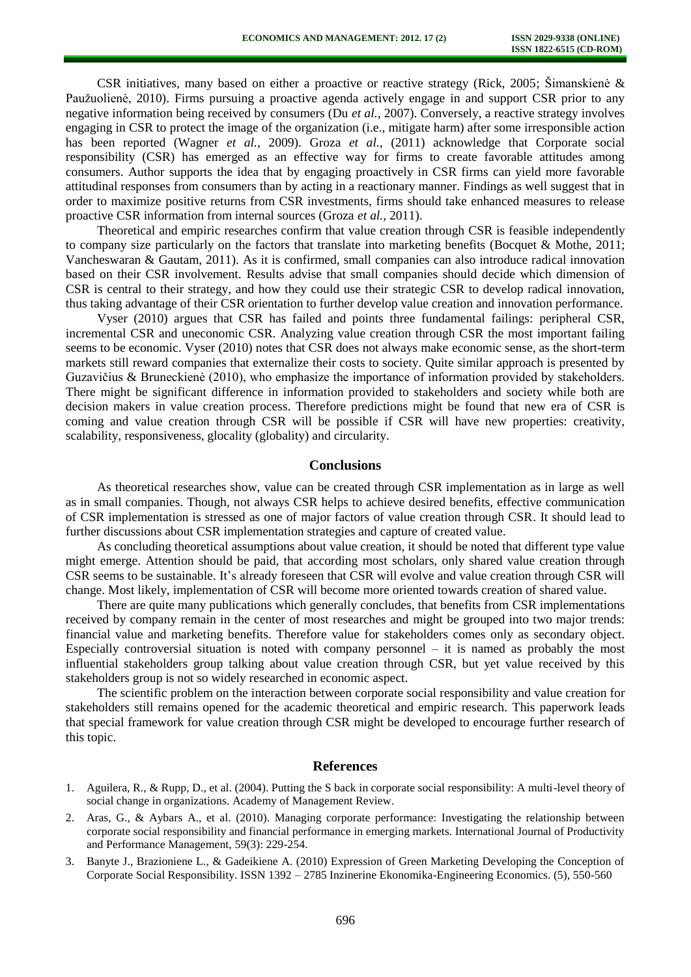CSR initiatives, many based on either a proactive or reactive strategy (Rick, 2005; Šimanskienė & Paužuolienė, 2010). Firms pursuing a proactive agenda actively engage in and support CSR prior to any negative information being received by consumers (Du *et al.,* 2007). Conversely, a reactive strategy involves engaging in CSR to protect the image of the organization (i.e., mitigate harm) after some irresponsible action has been reported (Wagner *et al.,* 2009). Groza *et al.,* (2011) acknowledge that Corporate social responsibility (CSR) has emerged as an effective way for firms to create favorable attitudes among consumers. Author supports the idea that by engaging proactively in CSR firms can yield more favorable attitudinal responses from consumers than by acting in a reactionary manner. Findings as well suggest that in order to maximize positive returns from CSR investments, firms should take enhanced measures to release proactive CSR information from internal sources (Groza *et al.,* 2011).

Theoretical and empiric researches confirm that value creation through CSR is feasible independently to company size particularly on the factors that translate into marketing benefits (Bocquet & Mothe, 2011; Vancheswaran & Gautam, 2011). As it is confirmed, small companies can also introduce radical innovation based on their CSR involvement. Results advise that small companies should decide which dimension of CSR is central to their strategy, and how they could use their strategic CSR to develop radical innovation, thus taking advantage of their CSR orientation to further develop value creation and innovation performance.

Vyser (2010) argues that CSR has failed and points three fundamental failings: peripheral CSR, incremental CSR and uneconomic CSR. Analyzing value creation through CSR the most important failing seems to be economic. Vyser (2010) notes that CSR does not always make economic sense, as the short-term markets still reward companies that externalize their costs to society. Quite similar approach is presented by Guzavičius & Bruneckienė (2010), who emphasize the importance of information provided by stakeholders. There might be significant difference in information provided to stakeholders and society while both are decision makers in value creation process. Therefore predictions might be found that new era of CSR is coming and value creation through CSR will be possible if CSR will have new properties: creativity, scalability, responsiveness, glocality (globality) and circularity.

#### **Conclusions**

As theoretical researches show, value can be created through CSR implementation as in large as well as in small companies. Though, not always CSR helps to achieve desired benefits, effective communication of CSR implementation is stressed as one of major factors of value creation through CSR. It should lead to further discussions about CSR implementation strategies and capture of created value.

As concluding theoretical assumptions about value creation, it should be noted that different type value might emerge. Attention should be paid, that according most scholars, only shared value creation through CSR seems to be sustainable. It's already foreseen that CSR will evolve and value creation through CSR will change. Most likely, implementation of CSR will become more oriented towards creation of shared value.

There are quite many publications which generally concludes, that benefits from CSR implementations received by company remain in the center of most researches and might be grouped into two major trends: financial value and marketing benefits. Therefore value for stakeholders comes only as secondary object. Especially controversial situation is noted with company personnel – it is named as probably the most influential stakeholders group talking about value creation through CSR, but yet value received by this stakeholders group is not so widely researched in economic aspect.

The scientific problem on the interaction between corporate social responsibility and value creation for stakeholders still remains opened for the academic theoretical and empiric research. This paperwork leads that special framework for value creation through CSR might be developed to encourage further research of this topic.

#### **References**

- 1. Aguilera, R., & Rupp, D., et al. (2004). Putting the S back in corporate social responsibility: A multi-level theory of social change in organizations. Academy of Management Review.
- 2. Aras, G., & Aybars A., et al. (2010). Managing corporate performance: Investigating the relationship between corporate social responsibility and financial performance in emerging markets. International Journal of Productivity and Performance Management, 59(3): 229-254.
- 3. Banyte J., Brazioniene L., & Gadeikiene A. (2010) Expression of Green Marketing Developing the Conception of Corporate Social Responsibility. ISSN 1392 – 2785 Inzinerine Ekonomika-Engineering Economics. (5), 550-560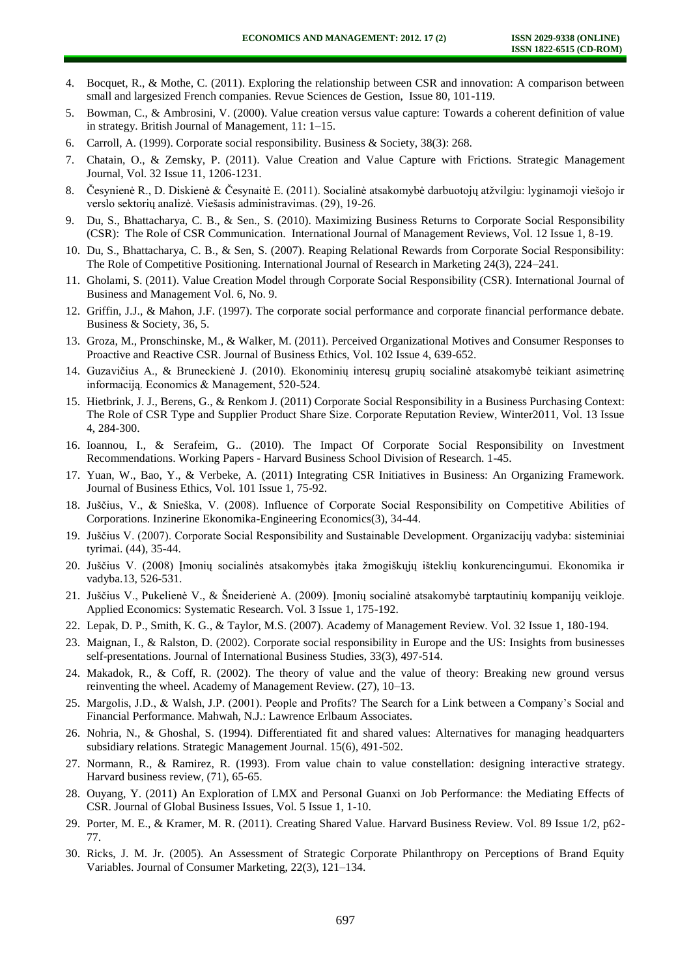- 4. Bocquet, R., & Mothe, C. (2011). Exploring the relationship between CSR and innovation: A comparison between small and largesized French companies. Revue Sciences de Gestion, Issue 80, 101-119.
- 5. Bowman, C., & Ambrosini, V. (2000). Value creation versus value capture: Towards a coherent definition of value in strategy. British Journal of Management, 11: 1–15.
- 6. Carroll, A. (1999). Corporate social responsibility. Business & Society, 38(3): 268.
- 7. Chatain, O., & Zemsky, P. (2011). Value Creation and Value Capture with Frictions. Strategic Management Journal, Vol. 32 Issue 11, 1206-1231.
- 8. Česynienė R., D. Diskienė & Česynaitė E. (2011). Socialinė atsakomybė darbuotojų atžvilgiu: lyginamoji viešojo ir verslo sektorių analizė. Viešasis administravimas. (29), 19-26.
- 9. Du, S., Bhattacharya, C. B., & Sen., S. (2010). Maximizing Business Returns to Corporate Social Responsibility (CSR): The Role of CSR Communication. International Journal of Management Reviews, Vol. 12 Issue 1, 8-19.
- 10. Du, S., Bhattacharya, C. B., & Sen, S. (2007). Reaping Relational Rewards from Corporate Social Responsibility: The Role of Competitive Positioning. International Journal of Research in Marketing 24(3), 224–241.
- 11. Gholami, S. (2011). Value Creation Model through Corporate Social Responsibility (CSR). International Journal of Business and Management Vol. 6, No. 9.
- 12. Griffin, J.J., & Mahon, J.F. (1997). The corporate social performance and corporate financial performance debate. Business & Society, 36, 5.
- 13. Groza, M., Pronschinske, M., & Walker, M. (2011). Perceived Organizational Motives and Consumer Responses to Proactive and Reactive CSR. Journal of Business Ethics, Vol. 102 Issue 4, 639-652.
- 14. Guzavičius A., & Bruneckienė J. (2010). Ekonominių interesų grupių socialinė atsakomybė teikiant asimetrinę informaciją. Economics & Management, 520-524.
- 15. Hietbrink, J. J., Berens, G., & Renkom J. (2011) Corporate Social Responsibility in a Business Purchasing Context: The Role of CSR Type and Supplier Product Share Size. Corporate Reputation Review, Winter2011, Vol. 13 Issue 4, 284-300.
- 16. Ioannou, I., & Serafeim, G.. (2010). The Impact Of Corporate Social Responsibility on Investment Recommendations. Working Papers - Harvard Business School Division of Research. 1-45.
- 17. Yuan, W., Bao, Y., & Verbeke, A. (2011) Integrating CSR Initiatives in Business: An Organizing Framework. Journal of Business Ethics, Vol. 101 Issue 1, 75-92.
- 18. Juščius, V., & Snieška, V. (2008). Influence of Corporate Social Responsibility on Competitive Abilities of Corporations. Inzinerine Ekonomika-Engineering Economics(3), 34-44.
- 19. Juščius V. (2007). Corporate Social Responsibility and Sustainable Development. Organizacijų vadyba: sisteminiai tyrimai. (44), 35-44.
- 20. Juščius V. (2008) Įmonių socialinės atsakomybės įtaka žmogiškųjų išteklių konkurencingumui. Ekonomika ir vadyba.13, 526-531.
- 21. Juščius V., Pukelienė V., & Šneiderienė A. (2009). Įmonių socialinė atsakomybė tarptautinių kompanijų veikloje. Applied Economics: Systematic Research. Vol. 3 Issue 1, 175-192.
- 22. Lepak, D. P., Smith, K. G., & Taylor, M.S. (2007). Academy of Management Review. Vol. 32 Issue 1, 180-194.
- 23. Maignan, I., & Ralston, D. (2002). Corporate social responsibility in Europe and the US: Insights from businesses self-presentations. Journal of International Business Studies, 33(3), 497-514.
- 24. Makadok, R., & Coff, R. (2002). The theory of value and the value of theory: Breaking new ground versus reinventing the wheel. Academy of Management Review. (27), 10–13.
- 25. Margolis, J.D., & Walsh, J.P. (2001). People and Profits? The Search for a Link between a Company's Social and Financial Performance. Mahwah, N.J.: Lawrence Erlbaum Associates.
- 26. Nohria, N., & Ghoshal, S. (1994). Differentiated fit and shared values: Alternatives for managing headquarters subsidiary relations. Strategic Management Journal. 15(6), 491-502.
- 27. Normann, R., & Ramirez, R. (1993). From value chain to value constellation: designing interactive strategy. Harvard business review, (71), 65-65.
- 28. Ouyang, Y. (2011) An Exploration of LMX and Personal Guanxi on Job Performance: the Mediating Effects of CSR. Journal of Global Business Issues, Vol. 5 Issue 1, 1-10.
- 29. Porter, M. E., & Kramer, M. R. (2011). Creating Shared Value. Harvard Business Review. Vol. 89 Issue 1/2, p62- 77.
- 30. Ricks, J. M. Jr. (2005). An Assessment of Strategic Corporate Philanthropy on Perceptions of Brand Equity Variables. Journal of Consumer Marketing, 22(3), 121–134.